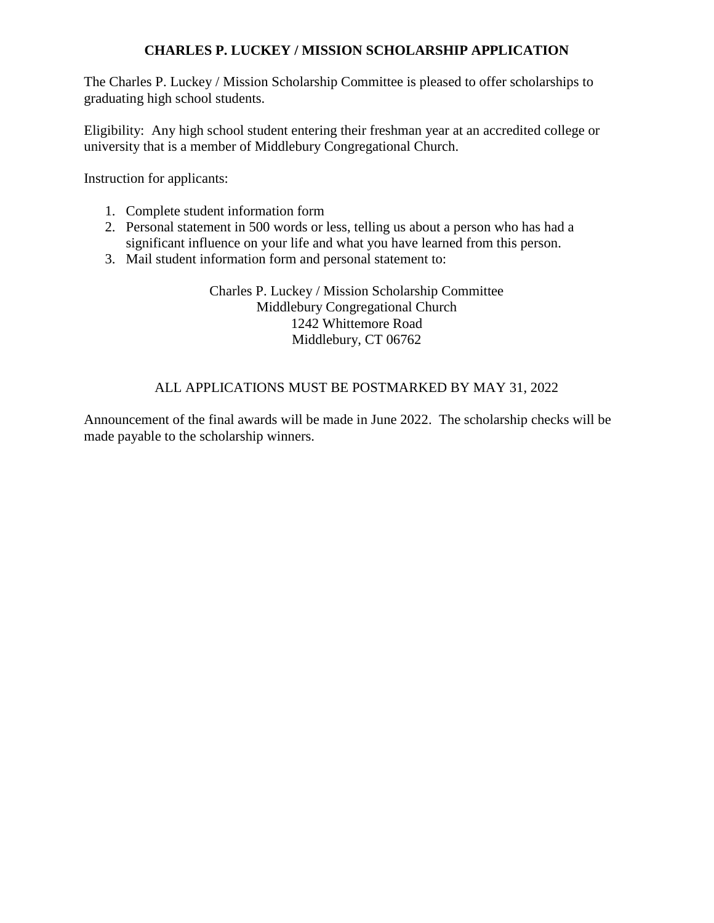## **CHARLES P. LUCKEY / MISSION SCHOLARSHIP APPLICATION**

The Charles P. Luckey / Mission Scholarship Committee is pleased to offer scholarships to graduating high school students.

Eligibility: Any high school student entering their freshman year at an accredited college or university that is a member of Middlebury Congregational Church.

Instruction for applicants:

- 1. Complete student information form
- 2. Personal statement in 500 words or less, telling us about a person who has had a significant influence on your life and what you have learned from this person.
- 3. Mail student information form and personal statement to:

Charles P. Luckey / Mission Scholarship Committee Middlebury Congregational Church 1242 Whittemore Road Middlebury, CT 06762

## ALL APPLICATIONS MUST BE POSTMARKED BY MAY 31, 2022

Announcement of the final awards will be made in June 2022. The scholarship checks will be made payable to the scholarship winners.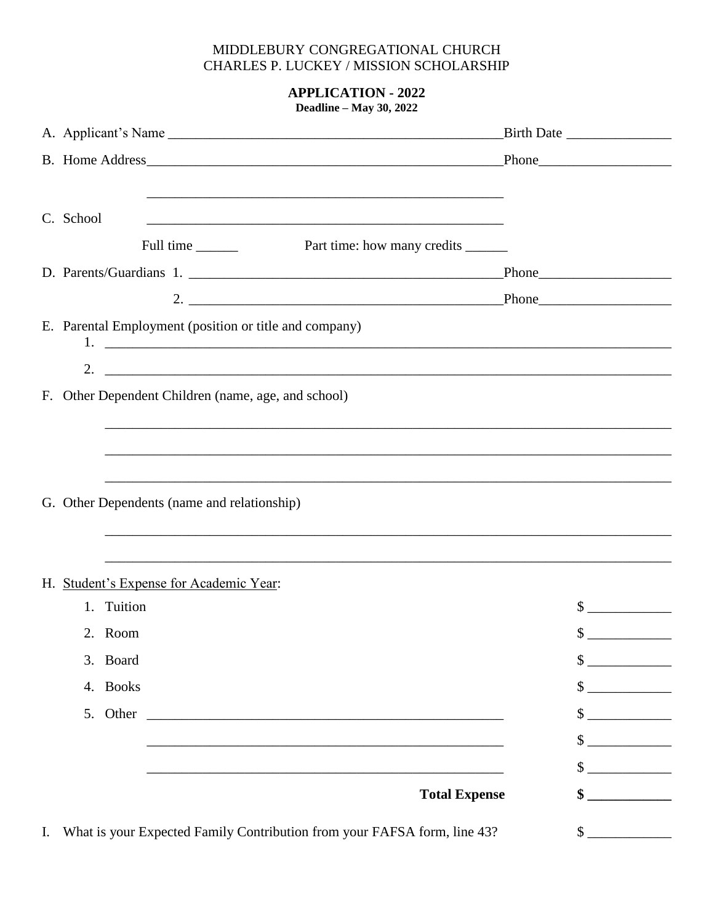## MIDDLEBURY CONGREGATIONAL CHURCH CHARLES P. LUCKEY / MISSION SCHOLARSHIP

**APPLICATION - 2022 Deadline - May 30, 2022** 

|  | C. School |                                                        |                                                                                  |                            |
|--|-----------|--------------------------------------------------------|----------------------------------------------------------------------------------|----------------------------|
|  |           |                                                        |                                                                                  |                            |
|  |           |                                                        |                                                                                  |                            |
|  |           |                                                        |                                                                                  |                            |
|  |           | E. Parental Employment (position or title and company) |                                                                                  |                            |
|  |           |                                                        |                                                                                  |                            |
|  |           | F. Other Dependent Children (name, age, and school)    |                                                                                  |                            |
|  |           |                                                        | ,我们也不能在这里的时候,我们也不能在这里的时候,我们也不能在这里的时候,我们也不能会不能在这里的时候,我们也不能会不能会不能会不能会不能会不能会不能会不能会不 |                            |
|  |           | G. Other Dependents (name and relationship)            |                                                                                  |                            |
|  |           | H. Student's Expense for Academic Year:                |                                                                                  |                            |
|  |           | 1. Tuition                                             |                                                                                  | $\frac{1}{2}$              |
|  |           | 2. Room                                                |                                                                                  | $\frac{1}{2}$              |
|  |           | 3. Board                                               |                                                                                  | \$<br><u>and the state</u> |
|  |           | 4. Books                                               |                                                                                  | $\mathbb{S}$               |
|  |           | 5. Other                                               | <u> 1980 - John Stein, Amerikaansk politiker († 1901)</u>                        | $\mathbb{S}$               |
|  |           |                                                        |                                                                                  | $\mathbb{S}$               |
|  |           |                                                        |                                                                                  | $\mathbb{S}$               |
|  |           |                                                        | <b>Total Expense</b>                                                             | \$                         |
|  |           |                                                        |                                                                                  |                            |

 $\frac{1}{2}$ 

I. What is your Expected Family Contribution from your FAFSA form, line 43?